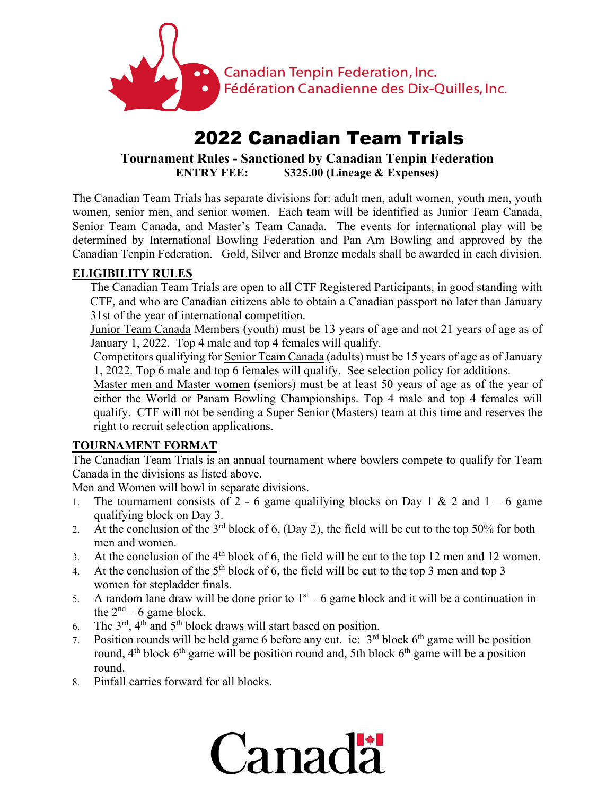

# 2022 Canadian Team Trials

**Tournament Rules - Sanctioned by Canadian Tenpin Federation ENTRY FEE: \$325.00 (Lineage & Expenses)**

The Canadian Team Trials has separate divisions for: adult men, adult women, youth men, youth women, senior men, and senior women. Each team will be identified as Junior Team Canada, Senior Team Canada, and Master's Team Canada. The events for international play will be determined by International Bowling Federation and Pan Am Bowling and approved by the Canadian Tenpin Federation. Gold, Silver and Bronze medals shall be awarded in each division.

# **ELIGIBILITY RULES**

The Canadian Team Trials are open to all CTF Registered Participants, in good standing with CTF, and who are Canadian citizens able to obtain a Canadian passport no later than January 31st of the year of international competition.

Junior Team Canada Members (youth) must be 13 years of age and not 21 years of age as of January 1, 2022. Top 4 male and top 4 females will qualify.

Competitors qualifying for Senior Team Canada (adults) must be 15 years of age as of January 1, 2022. Top 6 male and top 6 females will qualify. See selection policy for additions.

Master men and Master women (seniors) must be at least 50 years of age as of the year of either the World or Panam Bowling Championships. Top 4 male and top 4 females will qualify. CTF will not be sending a Super Senior (Masters) team at this time and reserves the right to recruit selection applications.

# **TOURNAMENT FORMAT**

The Canadian Team Trials is an annual tournament where bowlers compete to qualify for Team Canada in the divisions as listed above.

Men and Women will bowl in separate divisions.

- 1. The tournament consists of 2 6 game qualifying blocks on Day 1 & 2 and  $1 6$  game qualifying block on Day 3.
- 2. At the conclusion of the  $3<sup>rd</sup>$  block of 6, (Day 2), the field will be cut to the top 50% for both men and women.
- 3. At the conclusion of the  $4<sup>th</sup>$  block of 6, the field will be cut to the top 12 men and 12 women.
- 4. At the conclusion of the  $5<sup>th</sup>$  block of 6, the field will be cut to the top 3 men and top 3 women for stepladder finals.
- 5. A random lane draw will be done prior to  $1<sup>st</sup> 6$  game block and it will be a continuation in the  $2<sup>nd</sup> - 6$  game block.
- 6. The  $3<sup>rd</sup>$ ,  $4<sup>th</sup>$  and  $5<sup>th</sup>$  block draws will start based on position.
- 7. Position rounds will be held game 6 before any cut. ie:  $3<sup>rd</sup>$  block  $6<sup>th</sup>$  game will be position round,  $4<sup>th</sup>$  block  $6<sup>th</sup>$  game will be position round and, 5th block  $6<sup>th</sup>$  game will be a position round.
- 8. Pinfall carries forward for all blocks.

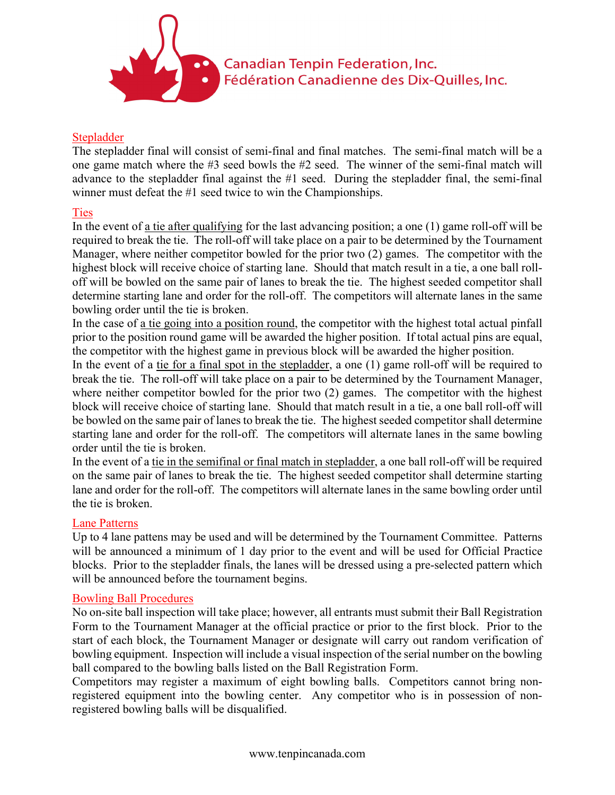

## Stepladder

The stepladder final will consist of semi-final and final matches. The semi-final match will be a one game match where the #3 seed bowls the #2 seed. The winner of the semi-final match will advance to the stepladder final against the #1 seed. During the stepladder final, the semi-final winner must defeat the #1 seed twice to win the Championships.

## **Ties**

In the event of a tie after qualifying for the last advancing position; a one (1) game roll-off will be required to break the tie. The roll-off will take place on a pair to be determined by the Tournament Manager, where neither competitor bowled for the prior two (2) games. The competitor with the highest block will receive choice of starting lane. Should that match result in a tie, a one ball rolloff will be bowled on the same pair of lanes to break the tie. The highest seeded competitor shall determine starting lane and order for the roll-off. The competitors will alternate lanes in the same bowling order until the tie is broken.

In the case of <u>a tie going into a position round</u>, the competitor with the highest total actual pinfall prior to the position round game will be awarded the higher position. If total actual pins are equal, the competitor with the highest game in previous block will be awarded the higher position.

In the event of a tie for a final spot in the stepladder, a one (1) game roll-off will be required to break the tie. The roll-off will take place on a pair to be determined by the Tournament Manager, where neither competitor bowled for the prior two (2) games. The competitor with the highest block will receive choice of starting lane. Should that match result in a tie, a one ball roll-off will be bowled on the same pair of lanes to break the tie. The highest seeded competitor shall determine starting lane and order for the roll-off. The competitors will alternate lanes in the same bowling order until the tie is broken.

In the event of a tie in the semifinal or final match in stepladder, a one ball roll-off will be required on the same pair of lanes to break the tie. The highest seeded competitor shall determine starting lane and order for the roll-off. The competitors will alternate lanes in the same bowling order until the tie is broken.

#### Lane Patterns

Up to 4 lane pattens may be used and will be determined by the Tournament Committee. Patterns will be announced a minimum of 1 day prior to the event and will be used for Official Practice blocks. Prior to the stepladder finals, the lanes will be dressed using a pre-selected pattern which will be announced before the tournament begins.

#### Bowling Ball Procedures

No on-site ball inspection will take place; however, all entrants must submit their Ball Registration Form to the Tournament Manager at the official practice or prior to the first block. Prior to the start of each block, the Tournament Manager or designate will carry out random verification of bowling equipment. Inspection will include a visual inspection of the serial number on the bowling ball compared to the bowling balls listed on the Ball Registration Form.

Competitors may register a maximum of eight bowling balls. Competitors cannot bring nonregistered equipment into the bowling center. Any competitor who is in possession of nonregistered bowling balls will be disqualified.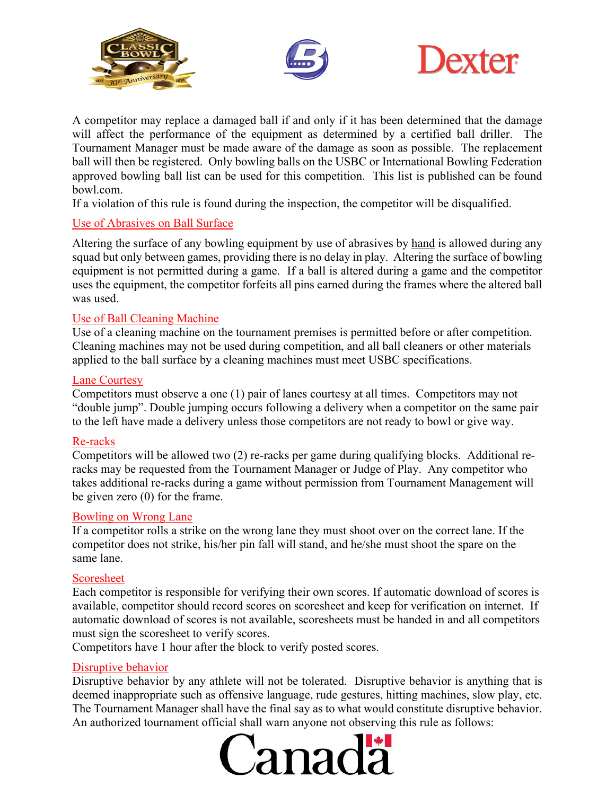





A competitor may replace a damaged ball if and only if it has been determined that the damage will affect the performance of the equipment as determined by a certified ball driller. The Tournament Manager must be made aware of the damage as soon as possible. The replacement ball will then be registered. Only bowling balls on the USBC or International Bowling Federation approved bowling ball list can be used for this competition. This list is published can be found bowl.com.

If a violation of this rule is found during the inspection, the competitor will be disqualified.

# Use of Abrasives on Ball Surface

Altering the surface of any bowling equipment by use of abrasives by hand is allowed during any squad but only between games, providing there is no delay in play. Altering the surface of bowling equipment is not permitted during a game. If a ball is altered during a game and the competitor uses the equipment, the competitor forfeits all pins earned during the frames where the altered ball was used.

# Use of Ball Cleaning Machine

Use of a cleaning machine on the tournament premises is permitted before or after competition. Cleaning machines may not be used during competition, and all ball cleaners or other materials applied to the ball surface by a cleaning machines must meet USBC specifications.

## Lane Courtesy

Competitors must observe a one (1) pair of lanes courtesy at all times. Competitors may not "double jump". Double jumping occurs following a delivery when a competitor on the same pair to the left have made a delivery unless those competitors are not ready to bowl or give way.

#### Re-racks

Competitors will be allowed two (2) re-racks per game during qualifying blocks. Additional reracks may be requested from the Tournament Manager or Judge of Play. Any competitor who takes additional re-racks during a game without permission from Tournament Management will be given zero (0) for the frame.

#### Bowling on Wrong Lane

If a competitor rolls a strike on the wrong lane they must shoot over on the correct lane. If the competitor does not strike, his/her pin fall will stand, and he/she must shoot the spare on the same lane.

# Scoresheet

Each competitor is responsible for verifying their own scores. If automatic download of scores is available, competitor should record scores on scoresheet and keep for verification on internet. If automatic download of scores is not available, scoresheets must be handed in and all competitors must sign the scoresheet to verify scores.

Competitors have 1 hour after the block to verify posted scores.

# Disruptive behavior

Disruptive behavior by any athlete will not be tolerated. Disruptive behavior is anything that is deemed inappropriate such as offensive language, rude gestures, hitting machines, slow play, etc. The Tournament Manager shall have the final say as to what would constitute disruptive behavior. An authorized tournament official shall warn anyone not observing this rule as follows:

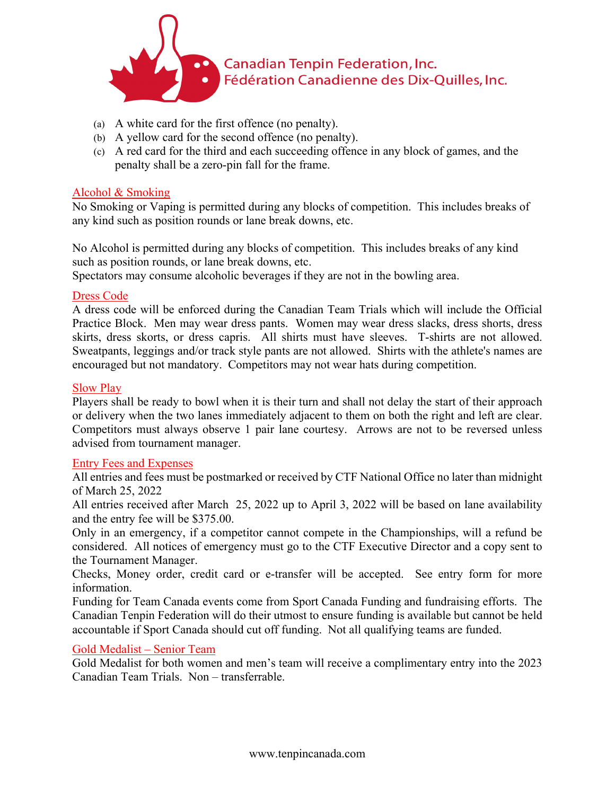

- (a) A white card for the first offence (no penalty).
- (b) A yellow card for the second offence (no penalty).
- (c) A red card for the third and each succeeding offence in any block of games, and the penalty shall be a zero-pin fall for the frame.

#### Alcohol & Smoking

No Smoking or Vaping is permitted during any blocks of competition. This includes breaks of any kind such as position rounds or lane break downs, etc.

No Alcohol is permitted during any blocks of competition. This includes breaks of any kind such as position rounds, or lane break downs, etc.

Spectators may consume alcoholic beverages if they are not in the bowling area.

#### Dress Code

A dress code will be enforced during the Canadian Team Trials which will include the Official Practice Block. Men may wear dress pants. Women may wear dress slacks, dress shorts, dress skirts, dress skorts, or dress capris. All shirts must have sleeves. T-shirts are not allowed. Sweatpants, leggings and/or track style pants are not allowed. Shirts with the athlete's names are encouraged but not mandatory. Competitors may not wear hats during competition.

#### Slow Play

Players shall be ready to bowl when it is their turn and shall not delay the start of their approach or delivery when the two lanes immediately adjacent to them on both the right and left are clear. Competitors must always observe 1 pair lane courtesy. Arrows are not to be reversed unless advised from tournament manager.

#### Entry Fees and Expenses

All entries and fees must be postmarked or received by CTF National Office no later than midnight of March 25, 2022

All entries received after March 25, 2022 up to April 3, 2022 will be based on lane availability and the entry fee will be \$375.00.

Only in an emergency, if a competitor cannot compete in the Championships, will a refund be considered. All notices of emergency must go to the CTF Executive Director and a copy sent to the Tournament Manager.

Checks, Money order, credit card or e-transfer will be accepted. See entry form for more information.

Funding for Team Canada events come from Sport Canada Funding and fundraising efforts. The Canadian Tenpin Federation will do their utmost to ensure funding is available but cannot be held accountable if Sport Canada should cut off funding. Not all qualifying teams are funded.

#### Gold Medalist – Senior Team

Gold Medalist for both women and men's team will receive a complimentary entry into the 2023 Canadian Team Trials. Non – transferrable.